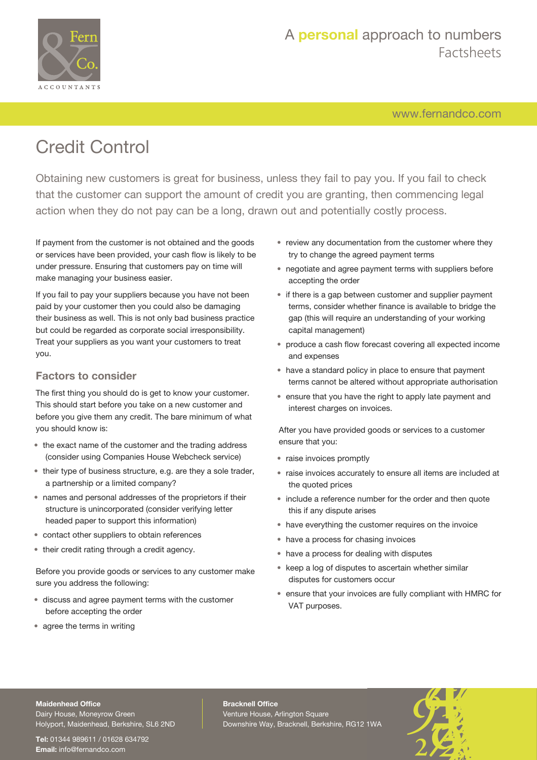

# A **personal** approach to numbers Factsheets

[www.fernandco.com](http://www.fernandco.com)

# Credit Control

Obtaining new customers is great for business, unless they fail to pay you. If you fail to check that the customer can support the amount of credit you are granting, then commencing legal action when they do not pay can be a long, drawn out and potentially costly process.

If payment from the customer is not obtained and the goods or services have been provided, your cash flow is likely to be under pressure. Ensuring that customers pay on time will make managing your business easier.

If you fail to pay your suppliers because you have not been paid by your customer then you could also be damaging their business as well. This is not only bad business practice but could be regarded as corporate social irresponsibility. Treat your suppliers as you want your customers to treat you.

### **Factors to consider**

The first thing you should do is get to know your customer. This should start before you take on a new customer and before you give them any credit. The bare minimum of what you should know is:

- the exact name of the customer and the trading address (consider using Companies House Webcheck service)
- their type of business structure, e.g. are they a sole trader, a partnership or a limited company?
- names and personal addresses of the proprietors if their structure is unincorporated (consider verifying letter headed paper to support this information)
- contact other suppliers to obtain references
- their credit rating through a credit agency.

Before you provide goods or services to any customer make sure you address the following:

- discuss and agree payment terms with the customer before accepting the order
- agree the terms in writing
- review any documentation from the customer where they try to change the agreed payment terms
- negotiate and agree payment terms with suppliers before accepting the order
- if there is a gap between customer and supplier payment terms, consider whether finance is available to bridge the gap (this will require an understanding of your working capital management)
- produce a cash flow forecast covering all expected income and expenses
- have a standard policy in place to ensure that payment terms cannot be altered without appropriate authorisation
- ensure that you have the right to apply late payment and interest charges on invoices.

After you have provided goods or services to a customer ensure that you:

- raise invoices promptly
- raise invoices accurately to ensure all items are included at the quoted prices
- include a reference number for the order and then quote this if any dispute arises
- have everything the customer requires on the invoice
- have a process for chasing invoices
- have a process for dealing with disputes
- keep a log of disputes to ascertain whether similar disputes for customers occur
- ensure that your invoices are fully compliant with HMRC for VAT purposes.

#### **Maidenhead Office**

Dairy House, Moneyrow Green Holyport, Maidenhead, Berkshire, SL6 2ND

**Tel:** 01344 989611 / 01628 634792 **Email:** [info@fernandco.com](mailto:info@fernandco.com)

**Bracknell Office** Venture House, Arlington Square Downshire Way, Bracknell, Berkshire, RG12 1WA